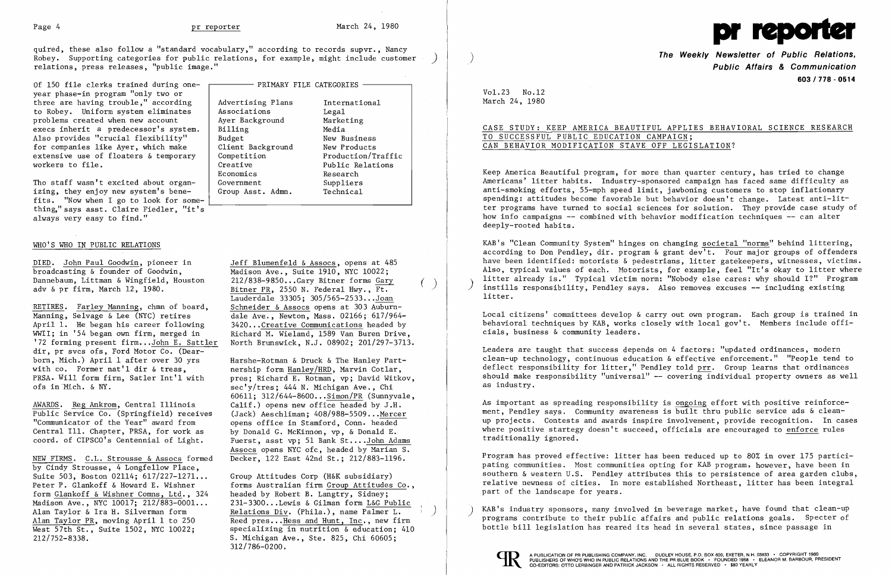L



quired , these also follow a "standard vocabulary," according to records supvr, , Nancy Robey. Supporting categories for public relations, for example, might include customer relations, press releases, "public image."

Tho staff wasn't excited about organ-  $\int$  Government Government Suppliers izing, they enjoy new system's bene-  $\vert$  Group fits. "Now when I go to look for something," says asst. Claire Fiedler, "it's always very easy to find."

| Of 150 file clerks trained during one- | —— PRIMARY FILE CATEGORIES |                    |  |  |
|----------------------------------------|----------------------------|--------------------|--|--|
| year phase-in program "only two or     |                            |                    |  |  |
| three are having trouble," according   | Advertising Plans          | International      |  |  |
| to Robey. Uniform system eliminates    | Associations               | Legal              |  |  |
| problems created when new account      | Ayer Background            | Marketing          |  |  |
| execs inherit a predecessor's system.  | Billing                    | Media              |  |  |
| Also provides "crucial flexibility"    | Budget                     | New Business       |  |  |
| for companies like Ayer, which make    | Client Background          | New Products       |  |  |
| extensive use of floaters & temporary  | Competition                | Production/Traffic |  |  |
| workers to file.                       | Creative                   | Public Relations   |  |  |
|                                        | Economics                  | Research           |  |  |
| Tho staff wasn't excited about organ-  | Government                 | Suppliers          |  |  |
| izing, they enjoy new system's bene-   | Group Asst. Admn.          | Technical          |  |  |
| $\mathbf{H}$                           |                            |                    |  |  |

Bitner PR, 2550 N. Federal Hwy.,  $F_t$ .  $($ Lauderdale 33305;  $305/565-2533...$  Joan<br>Schneider & Assocs opens at 303 Auburn-North Brunswick, N.J. 08902; 201/297-3713.

## WHO'S WHO IN PUBLIC RELATIONS

DIED. John Paul Goodwin, pioneer in Jeff Blumenfeld & Assocs, opens at 485<br>broadcasting & founder of Goodwin, Madison Ave., Suite 1910, NYC 10022; broadcasting & founder of Goodwin,<br>Dannebaum, Littman & Wingfield, Houston 212/838-9850...Gary Bitner forms Gary Dannebaum, Littman & Wingfield, Houston 212/838-9850...Gary Bitner forms Gary adv & pr firm, March 12, 1980.

RETIRES. Farley Manning, chmn of board,<br>Manning, Selvage & Lee (NYC) retires Manning, Selvage & Lee (NYC) retires dale Ave., Newton, Mass. 02166; 617/964-<br>April 1. He began his career following 3420... Creative Communications headed by April 1. He began his career following 3420... Creative Communications headed by<br>WWII; in '54 began own firm, merged in Richard M. Wieland, 1589 Van Buren Drive WWII; in '54 began own firm, merged in Richard M. Wieland, 1589 Van Buren Drive,<br>'72 forming present firm...John E. Sattler North Brunswick, N.J. 08902: 201/297-3713 dir, pr svcs ofs, Ford Motor Co. (Dearborn, Mich.) April 1 after over 30 yrs Harshe-Rotman & Druck & The Hanley Part-<br>with co. Former nat'l dir & treas, enership form Hanley/HRD, Marvin Cotlar, with co. Former nat'l dir & treas,<br>PRSA. Will form firm, Satler Int'l with pres: Richard E. Rotman, vp; David Witko

AWARDS. Reg Ankrom, Central Illinois Calif.) opens new office headed by J.H.<br>Public Service Co. (Springfield) receives (Jack) Aeschliman; 408/988-5509...Mercer Public Service  $\overline{\text{Co.}}$  (Springfield) receives "Communicator of the Year" award from Central Ill. Chapter, PRSA, for work as by Donald G. McKinnon, vp, & Donald E. coord. of CIPSCO's Centennial of Light. Fuerst, asst vp; 51 Bank St....John Adams

PRSA. Will form firm, Satler Int'l with pres; Richard E. Rotman, vp; David Witkov, ofs in Mich. & NY. sec'y/tres: 444 N. Michigan Ave., Chi 60611: 312/644-8600...Simon/PR (Sunnyvale, opens office in Stamford, Conn. headed Assocs opens NYC ofc, headed by Marian S.

forms Australian firm Group Attitudes Co.,<br>headed by Robert B. Langtry, Sidney; Madison Ave., NYC 10017; 212/883-0001... 231-3300...Lewis & Gilman form L&G Public Alan Taylor & Ira H. Silverman form Relations Div. (Phila.), name Palmer L. Alan Taylor & Ira H. Silverman form<br>
Alan Taylor PR, moving April 1 to 250 Reed pres... Hess and Hunt, Inc., new firm<br>
West 57th St., Suite 1502, NYC 10022; specializing in nutrition & education; 410 312/786-0200.

NEW FIRMS. C.L. Strousse & Assocs formed Decker, 122 East 42nd St.; 212/883-1196. by Cindy Strousse, 4 Longfellow Place, Suite 503, Boston 02114; 617/227-1271... Group Attitudes Corp (H&K subsidiary)<br>Peter P. Glankoff & Howard E. Wishner forms Australian firm Group Attitudes form Glankoff & Wishner Comns, Ltd., 324 West  $\overline{57th}$  St., Suite 1502, NYC 10022; 212/752-8338. S. Michigan Ave., Ste. 825, Chi 60605;

**The Weekly Newsletter of Public Relations,** ) **Public Affairs & Communication 603/778·0514** 

## Vol. 23 No.12 March 24, 1980

 $\overline{\phantom{a}}$ 

CASE STUDY: KEEP AMERICA BEAUTIFUL APPLIES BEHAVIORAL SCIENCE RESEARCH

# TO SUCCESSFUL PUBLIC EDUCATION CAMPAIGN; CAN BEHAVIOR MODIFICATION STAVE OFF LEGISLATION?

Keep America Beautiful program, for more than quarter century, has tried to change Americans' litter habits. Industry-sponsored campaign has faced same difficulty as anti-smoking efforts, 55-mph speed limit, jawboning customers to stop inflationary spending: attitudes become favorable but behavior doesn't change. Latest anti-lit ter programs have turned to social sciences for solution. They provide case study of how info campaigns -- combined with behavior modification techniques -- can alter deeply-rooted habits.

KAB's "Clean Community System" hinges on changing societal "norms" behind littering, according to Don Pendley, dir. program  $\&$  grant dev<sup>1</sup>t. Four major groups of offenders have been identified: motorists & pedestrians, litter gatekeepers, witnesses, victims. Also, typical values of each. Hotorists, for example, feel "It's okay to litter where litter already is." Typical victim norm: "Nobody else cares: why should I?" Program instills responsibility, Pendley says. Also removes excuses -- including existing litter.

Local citizens' committees develop & carry out own program. Each group is trained in behavioral techniques by KAB, works closely with local gov't. Members include officials, business & community leaders.

Leaders are taught that success depends on 4 factors: "updated ordinances, modern clean-up technology, continuous education & effective enforcement." "People tend to deflect responsibility for litter," Pendley told prr. Group learns that ordinances should make responsibility "universal"  $-$  covering individual property owners as well as industry.

As important as spreading responsibility is ongoing effort with positive reinforcement, Pendley says. Community awareness is built thru public service ads & cleanup projects. Contests and awards inspire involvement, provide recognition. In cases where positive startegy doesn't succeed, officials are encouraged to enforce rules traditionally ignored.

Program has proved effective: litter has been reduced up to 80% in over 175 participating communities. Most communities opting for KAB program, however, have been in southern & western U.S. Pendley attributes this to persistence of area garden clubs, relative newness of cities. In more established Northeast, litter has been integral part of the landscape for years.

KAB's industry sponsors, many involved in beverage market, have found that clean-up ) programs contribute to their public affairs and public relations goals. Specter of bottle bill legislation has reared its head in several states, since passage in